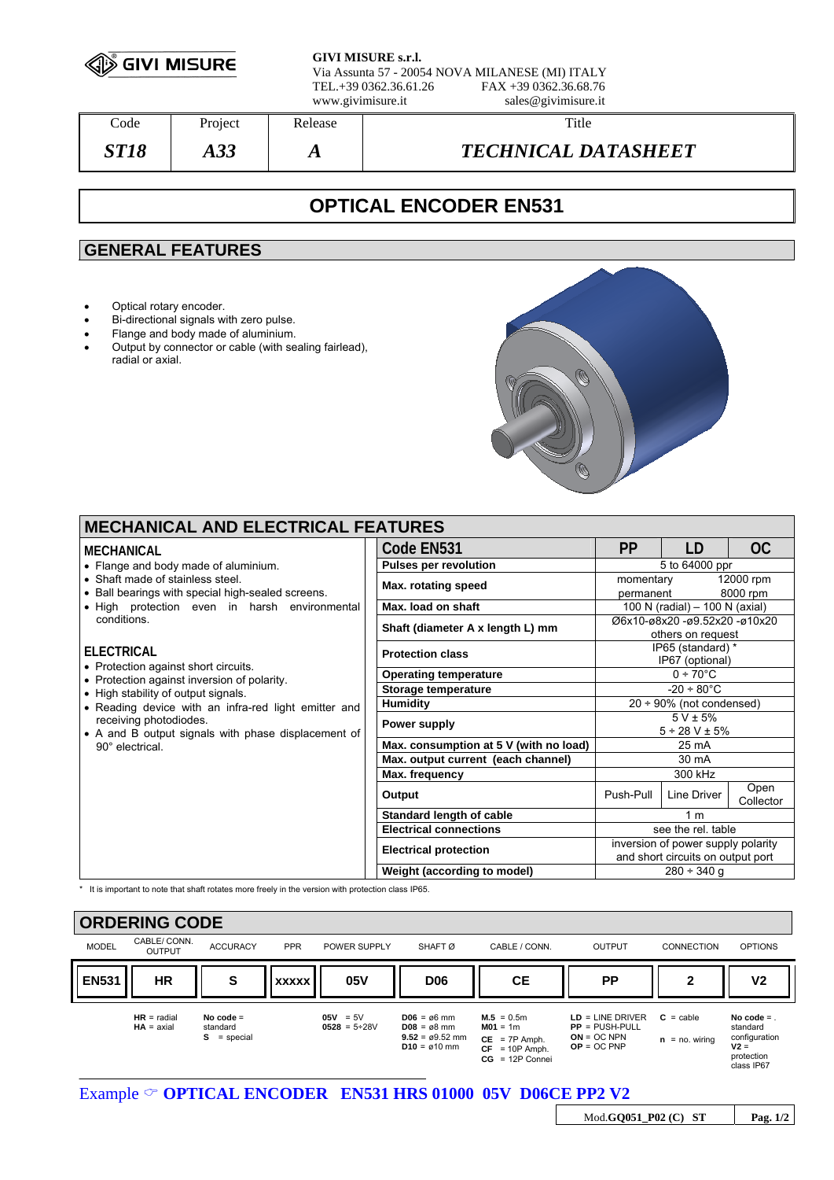

**GIVI MISURE s.r.l.** Via Assunta 57 - 20054 NOVA MILANESE (MI) ITALY TEL.+39 0362.36.61.26 FAX +39 0362.36.68.76

www.givimisure.it sales@givimisure.it

| Code  | Project    | Release | Title                      |
|-------|------------|---------|----------------------------|
| ST 18 | റ റ<br>AJJ | л       | <b>TECHNICAL DATASHEET</b> |

# **OPTICAL ENCODER EN531**

## **GENERAL FEATURES**

- Optical rotary encoder.
- Bi-directional signals with zero pulse.
- Flange and body made of aluminium.<br>• Output by connector or cable (with se
- Output by connector or cable (with sealing fairlead), radial or axial.



| <b>PP</b><br>Code EN531<br>LD<br>OC.<br><b>MECHANICAL</b><br><b>Pulses per revolution</b><br>5 to 64000 ppr<br>• Flange and body made of aluminium.<br>• Shaft made of stainless steel.<br>12000 rpm<br>momentary<br>Max. rotating speed<br>• Ball bearings with special high-sealed screens.<br>8000 rpm<br>permanent<br>• High protection even in harsh environmental<br>Max. load on shaft<br>100 N (radial) - 100 N (axial)<br>conditions.<br>Ø6x10-ø8x20 -ø9.52x20 -ø10x20<br>Shaft (diameter A x length L) mm<br>others on request<br>IP65 (standard) *<br><b>ELECTRICAL</b><br><b>Protection class</b><br>IP67 (optional)<br>• Protection against short circuits.<br>$0 + 70^{\circ}$ C<br><b>Operating temperature</b><br>• Protection against inversion of polarity.<br>$-20 \div 80^{\circ}$ C<br>Storage temperature<br>• High stability of output signals.<br>Humidity<br>$20 \div 90\%$ (not condensed)<br>• Reading device with an infra-red light emitter and<br>$5 V \pm 5%$<br>receiving photodiodes.<br>Power supply<br>$5 \div 28$ V $\pm$ 5%<br>• A and B output signals with phase displacement of<br>Max. consumption at 5 V (with no load)<br>$25 \text{ mA}$<br>90° electrical.<br>Max. output current (each channel)<br>30 mA<br>300 kHz<br>Max. frequency<br>Open<br>Push-Pull<br>Line Driver<br>Output<br>Collector | <b>MECHANICAL AND ELECTRICAL FEATURES</b> |  |                              |  |  |  |  |  |  |
|------------------------------------------------------------------------------------------------------------------------------------------------------------------------------------------------------------------------------------------------------------------------------------------------------------------------------------------------------------------------------------------------------------------------------------------------------------------------------------------------------------------------------------------------------------------------------------------------------------------------------------------------------------------------------------------------------------------------------------------------------------------------------------------------------------------------------------------------------------------------------------------------------------------------------------------------------------------------------------------------------------------------------------------------------------------------------------------------------------------------------------------------------------------------------------------------------------------------------------------------------------------------------------------------------------------------------------------------|-------------------------------------------|--|------------------------------|--|--|--|--|--|--|
|                                                                                                                                                                                                                                                                                                                                                                                                                                                                                                                                                                                                                                                                                                                                                                                                                                                                                                                                                                                                                                                                                                                                                                                                                                                                                                                                                |                                           |  |                              |  |  |  |  |  |  |
|                                                                                                                                                                                                                                                                                                                                                                                                                                                                                                                                                                                                                                                                                                                                                                                                                                                                                                                                                                                                                                                                                                                                                                                                                                                                                                                                                |                                           |  |                              |  |  |  |  |  |  |
|                                                                                                                                                                                                                                                                                                                                                                                                                                                                                                                                                                                                                                                                                                                                                                                                                                                                                                                                                                                                                                                                                                                                                                                                                                                                                                                                                |                                           |  |                              |  |  |  |  |  |  |
|                                                                                                                                                                                                                                                                                                                                                                                                                                                                                                                                                                                                                                                                                                                                                                                                                                                                                                                                                                                                                                                                                                                                                                                                                                                                                                                                                |                                           |  |                              |  |  |  |  |  |  |
|                                                                                                                                                                                                                                                                                                                                                                                                                                                                                                                                                                                                                                                                                                                                                                                                                                                                                                                                                                                                                                                                                                                                                                                                                                                                                                                                                |                                           |  |                              |  |  |  |  |  |  |
|                                                                                                                                                                                                                                                                                                                                                                                                                                                                                                                                                                                                                                                                                                                                                                                                                                                                                                                                                                                                                                                                                                                                                                                                                                                                                                                                                |                                           |  |                              |  |  |  |  |  |  |
|                                                                                                                                                                                                                                                                                                                                                                                                                                                                                                                                                                                                                                                                                                                                                                                                                                                                                                                                                                                                                                                                                                                                                                                                                                                                                                                                                |                                           |  |                              |  |  |  |  |  |  |
|                                                                                                                                                                                                                                                                                                                                                                                                                                                                                                                                                                                                                                                                                                                                                                                                                                                                                                                                                                                                                                                                                                                                                                                                                                                                                                                                                |                                           |  |                              |  |  |  |  |  |  |
|                                                                                                                                                                                                                                                                                                                                                                                                                                                                                                                                                                                                                                                                                                                                                                                                                                                                                                                                                                                                                                                                                                                                                                                                                                                                                                                                                |                                           |  |                              |  |  |  |  |  |  |
|                                                                                                                                                                                                                                                                                                                                                                                                                                                                                                                                                                                                                                                                                                                                                                                                                                                                                                                                                                                                                                                                                                                                                                                                                                                                                                                                                |                                           |  |                              |  |  |  |  |  |  |
|                                                                                                                                                                                                                                                                                                                                                                                                                                                                                                                                                                                                                                                                                                                                                                                                                                                                                                                                                                                                                                                                                                                                                                                                                                                                                                                                                |                                           |  |                              |  |  |  |  |  |  |
|                                                                                                                                                                                                                                                                                                                                                                                                                                                                                                                                                                                                                                                                                                                                                                                                                                                                                                                                                                                                                                                                                                                                                                                                                                                                                                                                                |                                           |  |                              |  |  |  |  |  |  |
|                                                                                                                                                                                                                                                                                                                                                                                                                                                                                                                                                                                                                                                                                                                                                                                                                                                                                                                                                                                                                                                                                                                                                                                                                                                                                                                                                |                                           |  |                              |  |  |  |  |  |  |
|                                                                                                                                                                                                                                                                                                                                                                                                                                                                                                                                                                                                                                                                                                                                                                                                                                                                                                                                                                                                                                                                                                                                                                                                                                                                                                                                                |                                           |  |                              |  |  |  |  |  |  |
| Standard length of cable<br>1 <sub>m</sub>                                                                                                                                                                                                                                                                                                                                                                                                                                                                                                                                                                                                                                                                                                                                                                                                                                                                                                                                                                                                                                                                                                                                                                                                                                                                                                     |                                           |  |                              |  |  |  |  |  |  |
| <b>Electrical connections</b><br>see the rel. table                                                                                                                                                                                                                                                                                                                                                                                                                                                                                                                                                                                                                                                                                                                                                                                                                                                                                                                                                                                                                                                                                                                                                                                                                                                                                            |                                           |  |                              |  |  |  |  |  |  |
| inversion of power supply polarity                                                                                                                                                                                                                                                                                                                                                                                                                                                                                                                                                                                                                                                                                                                                                                                                                                                                                                                                                                                                                                                                                                                                                                                                                                                                                                             |                                           |  | <b>Electrical protection</b> |  |  |  |  |  |  |
| and short circuits on output port                                                                                                                                                                                                                                                                                                                                                                                                                                                                                                                                                                                                                                                                                                                                                                                                                                                                                                                                                                                                                                                                                                                                                                                                                                                                                                              |                                           |  |                              |  |  |  |  |  |  |
| Weight (according to model)<br>$280 \div 340$ q                                                                                                                                                                                                                                                                                                                                                                                                                                                                                                                                                                                                                                                                                                                                                                                                                                                                                                                                                                                                                                                                                                                                                                                                                                                                                                |                                           |  |                              |  |  |  |  |  |  |

\* It is important to note that shaft rotates more freely in the version with protection class IP65.

| <b>ORDERING CODE</b> |                               |                                              |              |                                      |                                                                                                          |                                                                                        |                                                                          |                                           |                                                                                |
|----------------------|-------------------------------|----------------------------------------------|--------------|--------------------------------------|----------------------------------------------------------------------------------------------------------|----------------------------------------------------------------------------------------|--------------------------------------------------------------------------|-------------------------------------------|--------------------------------------------------------------------------------|
| <b>MODEL</b>         | CABLE/ CONN.<br><b>OUTPUT</b> | <b>ACCURACY</b>                              | <b>PPR</b>   | POWER SUPPLY                         | SHAFT <sub>Ø</sub>                                                                                       | CABLE / CONN.                                                                          | OUTPUT                                                                   | <b>CONNECTION</b>                         | <b>OPTIONS</b>                                                                 |
| <b>EN531</b>         | HR                            | S                                            | <b>XXXXX</b> | 05V                                  | <b>D06</b>                                                                                               | <b>CE</b>                                                                              | <b>PP</b>                                                                | 2                                         | V <sub>2</sub>                                                                 |
|                      | $HR = radial$<br>$HA = axial$ | No code $=$<br>standard<br>$=$ special<br>s. |              | 05V<br>$= 5V$<br>$0528 = 5 \div 28V$ | $DO6 = \emptyset6$ mm<br>$D08 = \emptyset 8$ mm<br>$9.52 = \emptyset 9.52$ mm<br>$D10 = \emptyset 10$ mm | $M.5 = 0.5m$<br>$M01 = 1m$<br>$CE = 7P$ Amph.<br>$CF = 10P$ Amph.<br>$CG = 12P$ Connei | $LD = LINE DRIVER$<br>$PP = PUSH-PULL$<br>$ON = OC NPN$<br>$OP = OC PNP$ | $C = \text{cable}$<br>$=$ no. wiring<br>n | No code $=$<br>standard<br>configuration<br>$V2 =$<br>protection<br>class IP67 |

Mod.**GQ051\_P02 (C) ST Pag. 1/2**